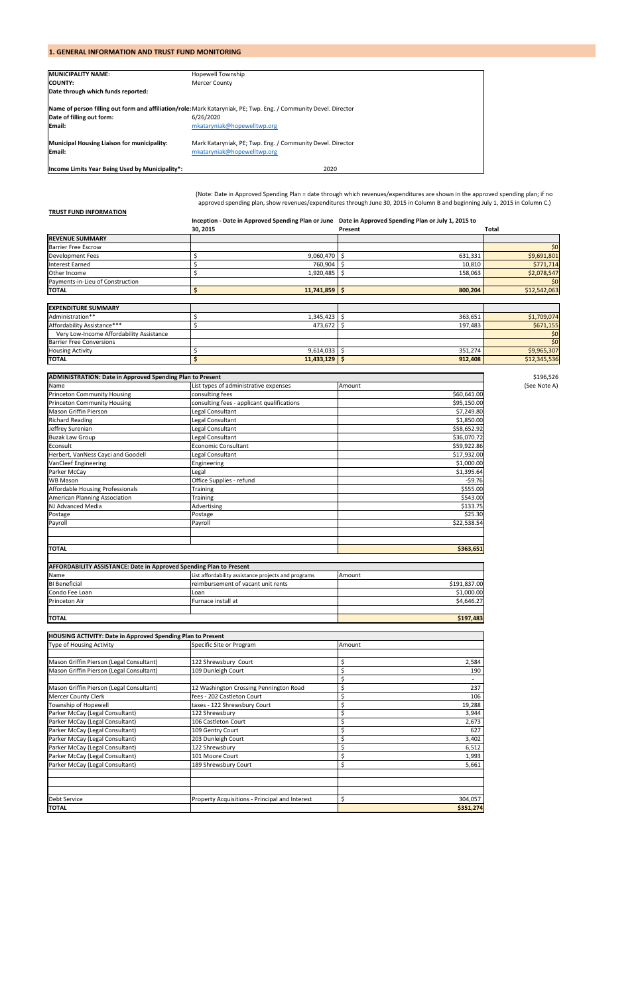## **1. GENERAL INFORMATION AND TRUST FUND MONITORING**

| <b>MUNICIPALITY NAME:</b>                                    | <b>Hopewell Township</b>                                                                                         |
|--------------------------------------------------------------|------------------------------------------------------------------------------------------------------------------|
| <b>COUNTY:</b>                                               | <b>Mercer County</b>                                                                                             |
| Date through which funds reported:                           |                                                                                                                  |
|                                                              | Name of person filling out form and affiliation/role: Mark Kataryniak, PE; Twp. Eng. / Community Devel. Director |
| Date of filling out form:                                    | 6/26/2020                                                                                                        |
| <b>Email:</b>                                                | mkataryniak@hopewelltwp.org                                                                                      |
| Municipal Housing Liaison for municipality:<br><b>Email:</b> | Mark Kataryniak, PE; Twp. Eng. / Community Devel. Director<br>mkataryniak@hopewelltwp.org                        |
| Income Limits Year Being Used by Municipality*:              | 2020                                                                                                             |

### **TRUST FUND INFORMATION**

**Inception ‐ Date in Approved Spending Plan or June Date in Approved Spending Plan or July 1, 2015 to** 

|                                  | 30, 2015   | Present | <b>Total</b>    |
|----------------------------------|------------|---------|-----------------|
| <b>REVENUE SUMMARY</b>           |            |         |                 |
| <b>Barrier Free Escrow</b>       |            |         | 50 <sub>l</sub> |
| <b>Development Fees</b>          | 9,060,470  | 631,331 | \$9,691,801     |
| <b>Interest Earned</b>           | 760,904    | 10,810  | \$771,714       |
| Other Income                     | 1,920,485  | 158,063 | \$2,078,547     |
| Payments-in-Lieu of Construction |            |         | \$0             |
| <b>TOTAL</b>                     | 11,741,859 | 800,204 | \$12,542,063    |

| <b>EXPENDITURE SUMMARY</b>               |            |         |              |
|------------------------------------------|------------|---------|--------------|
| Administration**                         | 1,345,423  | 363,651 | \$1,709,074  |
| Affordability Assistance***              | 473,672    | 197,483 | \$671,155    |
| Very Low-Income Affordability Assistance |            |         | \$0          |
| <b>Barrier Free Conversions</b>          |            |         | \$0          |
| <b>Housing Activity</b>                  | 9,614,033  | 351,274 | \$9,965,307  |
| <b>TOTAL</b>                             | 11,433,129 | 912,408 | \$12,345,536 |

| <b>ADMINISTRATION: Date in Approved Spending Plan to Present</b> |                                            |        |             |              |  |  |  |  |
|------------------------------------------------------------------|--------------------------------------------|--------|-------------|--------------|--|--|--|--|
| Name                                                             | List types of administrative expenses      | Amount |             | (See Note A) |  |  |  |  |
| <b>Princeton Community Housing</b>                               | consulting fees                            |        | \$60,641.00 |              |  |  |  |  |
| <b>Princeton Community Housing</b>                               | consulting fees - applicant qualifications |        | \$95,150.00 |              |  |  |  |  |
| <b>Mason Griffin Pierson</b>                                     | Legal Consultant                           |        | \$7,249.80  |              |  |  |  |  |
| <b>Richard Reading</b>                                           | Legal Consultant                           |        | \$1,850.00  |              |  |  |  |  |
| Jeffrey Surenian                                                 | Legal Consultant                           |        | \$58,652.92 |              |  |  |  |  |
| <b>Buzak Law Group</b>                                           | Legal Consultant                           |        | \$36,070.72 |              |  |  |  |  |
| Econsult                                                         | <b>Economic Consultant</b>                 |        | \$59,922.86 |              |  |  |  |  |
| Herbert, VanNess Cayci and Goodell                               | Legal Consultant                           |        | \$17,932.00 |              |  |  |  |  |
| <b>VanCleef Engineering</b>                                      | Engineering                                |        | \$1,000.00  |              |  |  |  |  |
| Parker McCay                                                     | Legal                                      |        | \$1,395.64  |              |  |  |  |  |
| <b>WB Mason</b>                                                  | Office Supplies - refund                   |        | $-59.76$    |              |  |  |  |  |
| Affordable Housing Professionals                                 | Training                                   |        | \$555.00    |              |  |  |  |  |
| <b>American Planning Association</b>                             | Training                                   |        | \$543.00    |              |  |  |  |  |
| NJ Advanced Media                                                | Advertising                                |        | \$133.75    |              |  |  |  |  |
| Postage                                                          | Postage                                    |        | \$25.30     |              |  |  |  |  |
| Payroll                                                          | Payroll                                    |        | \$22,538.54 |              |  |  |  |  |
|                                                                  |                                            |        |             |              |  |  |  |  |
| <b>TOTAL</b>                                                     |                                            |        | \$363,651   |              |  |  |  |  |

| <b>HOUSING ACTIVITY: Date in Approved Spending Plan to Present</b> |                                                |        |           |  |
|--------------------------------------------------------------------|------------------------------------------------|--------|-----------|--|
| <b>Type of Housing Activity</b>                                    | Specific Site or Program                       | Amount |           |  |
|                                                                    |                                                |        |           |  |
| Mason Griffin Pierson (Legal Consultant)                           | 122 Shrewsbury Court                           | Ś      | 2,584     |  |
| Mason Griffin Pierson (Legal Consultant)                           | 109 Dunleigh Court                             |        | 190       |  |
|                                                                    |                                                | Ś      |           |  |
| Mason Griffin Pierson (Legal Consultant)                           | 12 Washington Crossing Pennington Road         |        | 237       |  |
| <b>Mercer County Clerk</b>                                         | fees - 202 Castleton Court                     | ς      | 106       |  |
| Township of Hopewell                                               | taxes - 122 Shrewsbury Court                   | Ś      | 19,288    |  |
| Parker McCay (Legal Consultant)                                    | 122 Shrewsbury                                 | \$     | 3,944     |  |
| Parker McCay (Legal Consultant)                                    | 106 Castleton Court                            |        | 2,673     |  |
| Parker McCay (Legal Consultant)                                    | 109 Gentry Court                               | Ś      | 627       |  |
| Parker McCay (Legal Consultant)                                    | 203 Dunleigh Court                             | Ś      | 3,402     |  |
| Parker McCay (Legal Consultant)                                    | 122 Shrewsbury                                 | Ś      | 6,512     |  |
| Parker McCay (Legal Consultant)                                    | 101 Moore Court                                | \$     | 1,993     |  |
| Parker McCay (Legal Consultant)                                    | 189 Shrewsbury Court                           | 5,661  |           |  |
|                                                                    |                                                |        |           |  |
|                                                                    |                                                |        |           |  |
|                                                                    |                                                |        |           |  |
| <b>Debt Service</b>                                                | Property Acquisitions - Principal and Interest | Ś      | 304,057   |  |
| <b>TOTAL</b>                                                       |                                                |        | \$351,274 |  |

| <b>AFFORDABILITY ASSISTANCE: Date in Approved Spending Plan to Present</b> |                                                     |              |  |  |  |  |  |
|----------------------------------------------------------------------------|-----------------------------------------------------|--------------|--|--|--|--|--|
| Name                                                                       | List affordability assistance projects and programs | Amount       |  |  |  |  |  |
| <b>BI</b> Beneficial                                                       | reimbursement of vacant unit rents                  | \$191,837.00 |  |  |  |  |  |
| Condo Fee Loan                                                             | Loan                                                | \$1,000.00   |  |  |  |  |  |
| <b>Princeton Air</b>                                                       | Furnace install at                                  | \$4,646.27   |  |  |  |  |  |
| <b>ITOTAL</b>                                                              |                                                     | \$197,483    |  |  |  |  |  |

(Note: Date in Approved Spending Plan = date through which revenues/expenditures are shown in the approved spending plan; if no approved spending plan, show revenues/expenditures through June 30, 2015 in Column B and beginning July 1, 2015 in Column C.)

\$196,526<br>(See Note A)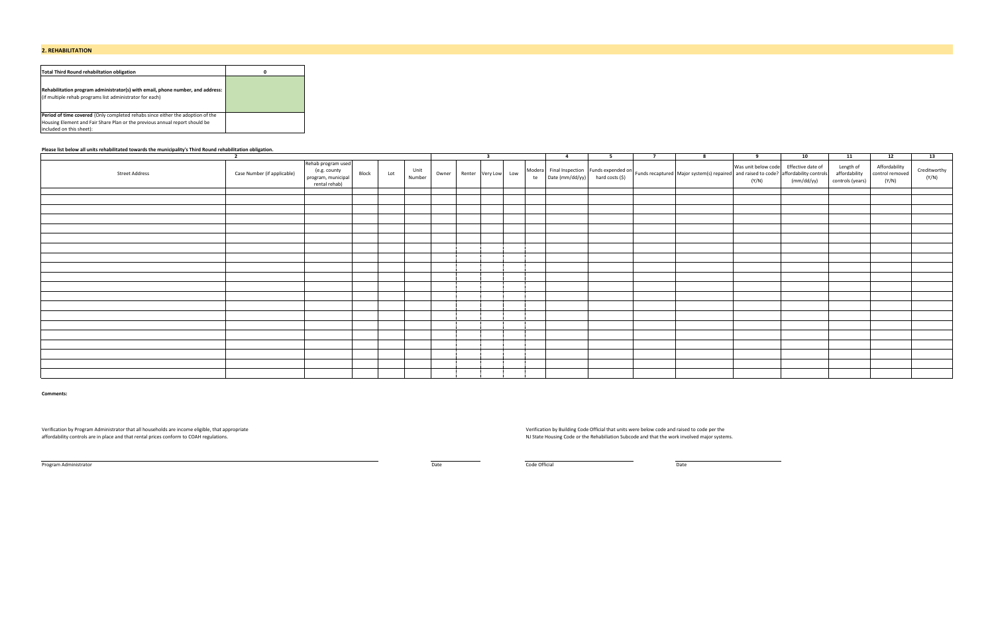### **2. REHABILITATION**

| Total Third Round rehabiltation obligation                                                                                                                                                       | 0 |
|--------------------------------------------------------------------------------------------------------------------------------------------------------------------------------------------------|---|
| Rehabilitation program administrator(s) with email, phone number, and address:<br>(if multiple rehab programs list administrator for each)                                                       |   |
| <b>Period of time covered</b> (Only completed rehabs since either the adoption of the<br>Housing Element and Fair Share Plan or the previous annual report should be<br>included on this sheet): |   |

### **Please list below all units rehabilitated towards the municipality's Third Round rehabilitation obligation.**

| Rehab program used<br>Was unit below code Effective date of<br>Length of<br>Affordability<br>Creditworthy<br>$\begin{bmatrix} \text{Model} \\ \text{the} \end{bmatrix} \begin{bmatrix} \text{Find} \\ \text{In} \end{bmatrix} \begin{bmatrix} \text{Higgs} \\ \text{Higgs} \end{bmatrix} \begin{bmatrix} \text{Higgs} \\ \text{Higgs} \end{bmatrix} \begin{bmatrix} \text{Higgs} \\ \text{Higgs} \end{bmatrix} \begin{bmatrix} \text{Higgs} \\ \text{Higgs} \end{bmatrix} \begin{bmatrix} \text{Higgs} \\ \text{Higgs} \end{bmatrix} \begin{bmatrix} \text{Higgs} \\ \text{Higgs} \end{bmatrix} \begin{bmatrix} \text{Higgs} \\ \text{Higgs} \end{bmatrix$<br>(e.g. county<br>Unit<br>Block<br>affordability<br>control removed<br>Case Number (if applicable)<br><b>Street Address</b><br>Lot<br>Owner Renter Very Low Low<br>program, municipal<br>(Y/N)<br>Number<br>(Y/N)<br>controls (years)<br>(Y/N)<br>(mm/dd/yy)<br>rental rehab) | $\overline{2}$ |  |  | $\overline{ }$ |  | $\overline{4}$ | - 5 | $\overline{7}$ | $\mathbf{R}$ | $\alpha$ | 10 | 11 | 12 | 13 |
|-------------------------------------------------------------------------------------------------------------------------------------------------------------------------------------------------------------------------------------------------------------------------------------------------------------------------------------------------------------------------------------------------------------------------------------------------------------------------------------------------------------------------------------------------------------------------------------------------------------------------------------------------------------------------------------------------------------------------------------------------------------------------------------------------------------------------------------------------------------------------------------------------------------------------------------------|----------------|--|--|----------------|--|----------------|-----|----------------|--------------|----------|----|----|----|----|
|                                                                                                                                                                                                                                                                                                                                                                                                                                                                                                                                                                                                                                                                                                                                                                                                                                                                                                                                           |                |  |  |                |  |                |     |                |              |          |    |    |    |    |
|                                                                                                                                                                                                                                                                                                                                                                                                                                                                                                                                                                                                                                                                                                                                                                                                                                                                                                                                           |                |  |  |                |  |                |     |                |              |          |    |    |    |    |
|                                                                                                                                                                                                                                                                                                                                                                                                                                                                                                                                                                                                                                                                                                                                                                                                                                                                                                                                           |                |  |  |                |  |                |     |                |              |          |    |    |    |    |
|                                                                                                                                                                                                                                                                                                                                                                                                                                                                                                                                                                                                                                                                                                                                                                                                                                                                                                                                           |                |  |  |                |  |                |     |                |              |          |    |    |    |    |
|                                                                                                                                                                                                                                                                                                                                                                                                                                                                                                                                                                                                                                                                                                                                                                                                                                                                                                                                           |                |  |  |                |  |                |     |                |              |          |    |    |    |    |
|                                                                                                                                                                                                                                                                                                                                                                                                                                                                                                                                                                                                                                                                                                                                                                                                                                                                                                                                           |                |  |  |                |  |                |     |                |              |          |    |    |    |    |
|                                                                                                                                                                                                                                                                                                                                                                                                                                                                                                                                                                                                                                                                                                                                                                                                                                                                                                                                           |                |  |  |                |  |                |     |                |              |          |    |    |    |    |
|                                                                                                                                                                                                                                                                                                                                                                                                                                                                                                                                                                                                                                                                                                                                                                                                                                                                                                                                           |                |  |  |                |  |                |     |                |              |          |    |    |    |    |
|                                                                                                                                                                                                                                                                                                                                                                                                                                                                                                                                                                                                                                                                                                                                                                                                                                                                                                                                           |                |  |  |                |  |                |     |                |              |          |    |    |    |    |
|                                                                                                                                                                                                                                                                                                                                                                                                                                                                                                                                                                                                                                                                                                                                                                                                                                                                                                                                           |                |  |  |                |  |                |     |                |              |          |    |    |    |    |
|                                                                                                                                                                                                                                                                                                                                                                                                                                                                                                                                                                                                                                                                                                                                                                                                                                                                                                                                           |                |  |  |                |  |                |     |                |              |          |    |    |    |    |
|                                                                                                                                                                                                                                                                                                                                                                                                                                                                                                                                                                                                                                                                                                                                                                                                                                                                                                                                           |                |  |  |                |  |                |     |                |              |          |    |    |    |    |
|                                                                                                                                                                                                                                                                                                                                                                                                                                                                                                                                                                                                                                                                                                                                                                                                                                                                                                                                           |                |  |  |                |  |                |     |                |              |          |    |    |    |    |
|                                                                                                                                                                                                                                                                                                                                                                                                                                                                                                                                                                                                                                                                                                                                                                                                                                                                                                                                           |                |  |  |                |  |                |     |                |              |          |    |    |    |    |
|                                                                                                                                                                                                                                                                                                                                                                                                                                                                                                                                                                                                                                                                                                                                                                                                                                                                                                                                           |                |  |  |                |  |                |     |                |              |          |    |    |    |    |
|                                                                                                                                                                                                                                                                                                                                                                                                                                                                                                                                                                                                                                                                                                                                                                                                                                                                                                                                           |                |  |  |                |  |                |     |                |              |          |    |    |    |    |
|                                                                                                                                                                                                                                                                                                                                                                                                                                                                                                                                                                                                                                                                                                                                                                                                                                                                                                                                           |                |  |  |                |  |                |     |                |              |          |    |    |    |    |
|                                                                                                                                                                                                                                                                                                                                                                                                                                                                                                                                                                                                                                                                                                                                                                                                                                                                                                                                           |                |  |  |                |  |                |     |                |              |          |    |    |    |    |
|                                                                                                                                                                                                                                                                                                                                                                                                                                                                                                                                                                                                                                                                                                                                                                                                                                                                                                                                           |                |  |  |                |  |                |     |                |              |          |    |    |    |    |
|                                                                                                                                                                                                                                                                                                                                                                                                                                                                                                                                                                                                                                                                                                                                                                                                                                                                                                                                           |                |  |  |                |  |                |     |                |              |          |    |    |    |    |
|                                                                                                                                                                                                                                                                                                                                                                                                                                                                                                                                                                                                                                                                                                                                                                                                                                                                                                                                           |                |  |  |                |  |                |     |                |              |          |    |    |    |    |

**Comments:**

Verification by Program Administrator that all households are income eligible, that appropriate extending that units were below code and raised to code per the Verification by Building Code Official that units were below c affordability controls are in place and that rental prices conform to COAH regulations.  $NJ$  State Housing Code or the Rehabiliation Subcode and that the work involved major systems.

Program Administrator Date Code Official Date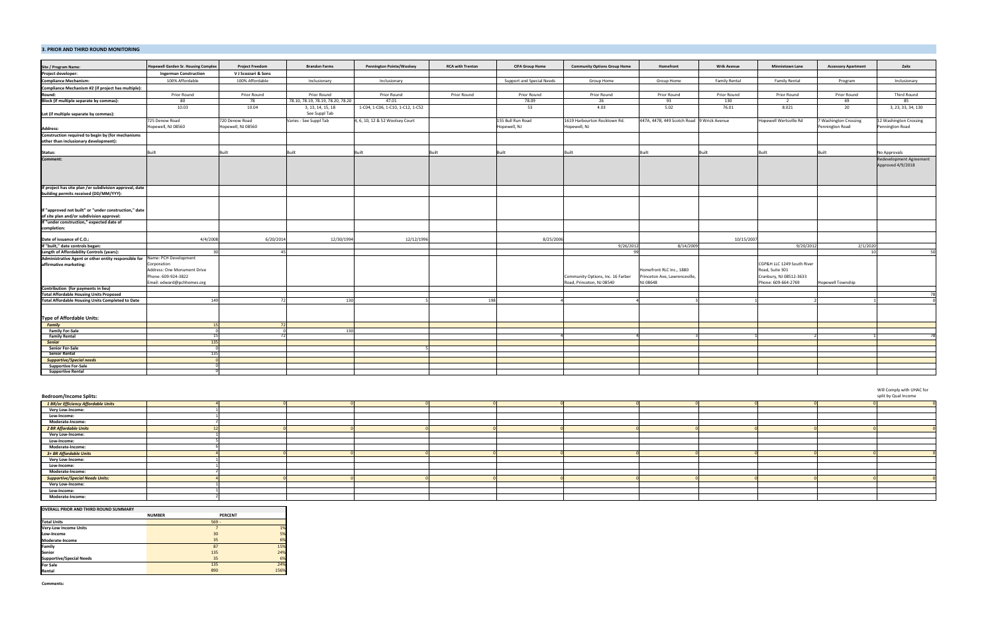#### **3. PRIOR AND THIRD ROUND MONITORING**

| Site / Program Name:                                                                                                                            | <b>Hopewell Garden Sr. Housing Complex</b>                                                      | <b>Project Freedom</b> | <b>Brandon Farms</b>              | <b>Pennington Pointe/Woolsey</b>  | <b>RCA with Trenton</b> | <b>CIFA Group Home</b>    | <b>Community Options Group Home</b>                            | Homefront                                                            | <b>Wrik Avenue</b> | <b>Minnietown Lane</b>                                                                          | <b>Accessory Apartment</b> | Zaitz                                        |
|-------------------------------------------------------------------------------------------------------------------------------------------------|-------------------------------------------------------------------------------------------------|------------------------|-----------------------------------|-----------------------------------|-------------------------|---------------------------|----------------------------------------------------------------|----------------------------------------------------------------------|--------------------|-------------------------------------------------------------------------------------------------|----------------------------|----------------------------------------------|
| Project developer:                                                                                                                              | <b>Ingerman Construction</b>                                                                    | V J Scozzari & Sons    |                                   |                                   |                         |                           |                                                                |                                                                      |                    |                                                                                                 |                            |                                              |
| <b>Compliance Mechanism:</b>                                                                                                                    | 100% Affordable                                                                                 | 100% Affordable        | Inclusionary                      | Inclusionary                      |                         | Support and Special Needs | Group Home                                                     | Group Home                                                           | Family Rental      | <b>Family Rental</b>                                                                            | Program                    | Inclusionary                                 |
| Compliance Mechanism #2 (if project has multiple):                                                                                              |                                                                                                 |                        |                                   |                                   |                         |                           |                                                                |                                                                      |                    |                                                                                                 |                            |                                              |
| Round:                                                                                                                                          | Prior Round                                                                                     | Prior Round            | Prior Round                       | Prior Round                       | Prior Round             | Prior Round               | Prior Round                                                    | Prior Round                                                          | Prior Round        | Prior Round                                                                                     | Prior Round                | Third Round                                  |
| Block (if multiple separate by commas):                                                                                                         | 80                                                                                              | 78                     | 78.10, 78.19, 78.19, 78.20, 78.20 | 47.01                             |                         | 78.09                     | 26                                                             | 93                                                                   | 130                | $\overline{2}$                                                                                  | 69                         | 85                                           |
|                                                                                                                                                 | 10.03                                                                                           | 10.04                  | 3, 13, 14, 15, 18                 | 1-C04, 1-C06, 1-C10, 1-C12, 1-C52 |                         | 53                        | 4.03                                                           | 5.02                                                                 | 76.01              | 8.021                                                                                           | 20                         | 3, 23, 33, 34, 130                           |
| Lot (if multiple separate by commas):                                                                                                           |                                                                                                 |                        | See Suppl Tab                     |                                   |                         |                           |                                                                |                                                                      |                    |                                                                                                 |                            |                                              |
|                                                                                                                                                 | 725 Denow Road                                                                                  | 720 Denow Road         | Varies - See Suppl Tab            | 4, 6, 10, 12 & 52 Woolsey Court   |                         | 155 Bull Run Road         | 1619 Harbourton Rocktown Rd.                                   | 447A, 447B, 449 Scotch Road 9 Wrick Avenue                           |                    | Hopewell Wertsville Rd                                                                          | Washington Crossing        | 12 Washington Crossing                       |
|                                                                                                                                                 | Hopewell, NJ 08560                                                                              | Hopewell, NJ 08560     |                                   |                                   |                         | Hopewell, NJ              | Hopewell, NJ                                                   |                                                                      |                    |                                                                                                 | Pennington Road            | Pennington Road                              |
| Address:                                                                                                                                        |                                                                                                 |                        |                                   |                                   |                         |                           |                                                                |                                                                      |                    |                                                                                                 |                            |                                              |
| Construction required to begin by (for mechanisms<br>other than inclusionary development):                                                      |                                                                                                 |                        |                                   |                                   |                         |                           |                                                                |                                                                      |                    |                                                                                                 |                            |                                              |
|                                                                                                                                                 | Built                                                                                           | Built                  | Built                             | <b>Built</b>                      | anilt.                  | Built                     | Built                                                          | Built                                                                | Built              | Built                                                                                           | Built                      | No Approvals                                 |
| Status:<br>Comment:                                                                                                                             |                                                                                                 |                        |                                   |                                   |                         |                           |                                                                |                                                                      |                    |                                                                                                 |                            | Redevelopment Agreement<br>Approved 4/9/2018 |
| If project has site plan /or subdivision approval, date<br>building permits received (DD/MM/YYY):                                               |                                                                                                 |                        |                                   |                                   |                         |                           |                                                                |                                                                      |                    |                                                                                                 |                            |                                              |
| If "approved not built" or "under construction," date<br>of site plan and/or subdivision approval:<br>If "under construction," expected date of |                                                                                                 |                        |                                   |                                   |                         |                           |                                                                |                                                                      |                    |                                                                                                 |                            |                                              |
| completion:                                                                                                                                     |                                                                                                 |                        |                                   |                                   |                         |                           |                                                                |                                                                      |                    |                                                                                                 |                            |                                              |
| Date of issuance of C.O.:<br>If "built," date controls began:                                                                                   | 4/4/2008                                                                                        | 6/20/2014              | 12/30/1994                        | 12/12/1996                        |                         | 8/25/2006                 |                                                                |                                                                      | 10/15/2007         |                                                                                                 |                            |                                              |
|                                                                                                                                                 |                                                                                                 |                        |                                   |                                   |                         |                           | 9/26/2012                                                      | 8/14/2009                                                            |                    | 9/20/201                                                                                        | 2/1/2020                   |                                              |
| Length of Affordability Controls (years):                                                                                                       |                                                                                                 | -30                    | 45                                |                                   |                         |                           |                                                                |                                                                      |                    |                                                                                                 |                            | 50                                           |
| Administrative Agent or other entity responsible for Name: PCH Development                                                                      |                                                                                                 |                        |                                   |                                   |                         |                           |                                                                |                                                                      |                    |                                                                                                 |                            |                                              |
| affirmative marketing:                                                                                                                          | Corporation<br>Address: One Monument Drive<br>Phone: 609-924-3822<br>Email: edward@pchhomes.org |                        |                                   |                                   |                         |                           | Community Options, Inc. 16 Farber<br>Road, Princeton, NJ 08540 | Homefront RLC Inc., 1880<br>Princeton Ave, Lawrenceville<br>NJ 08648 |                    | CGP&H LLC 1249 South River<br>Road, Suite 301<br>Cranbury, NJ 08512-3633<br>Phone: 609-664-2769 | <b>Hopewell Township</b>   |                                              |
| Contribution (for payments in lieu)                                                                                                             |                                                                                                 |                        |                                   |                                   |                         |                           |                                                                |                                                                      |                    |                                                                                                 |                            |                                              |
| <b>Total Affordable Housing Units Proposed</b>                                                                                                  |                                                                                                 |                        |                                   |                                   |                         |                           |                                                                |                                                                      |                    |                                                                                                 |                            | -78                                          |
| <b>Total Affordable Housing Units Completed to Date</b>                                                                                         | 149                                                                                             |                        | 72<br>130                         |                                   |                         | 198                       |                                                                |                                                                      |                    |                                                                                                 |                            |                                              |
| <b>Type of Affordable Units:</b>                                                                                                                |                                                                                                 |                        |                                   |                                   |                         |                           |                                                                |                                                                      |                    |                                                                                                 |                            |                                              |
| <b>Family</b>                                                                                                                                   | -15                                                                                             |                        |                                   |                                   |                         |                           |                                                                |                                                                      |                    |                                                                                                 |                            |                                              |
| <b>Family For-Sale</b>                                                                                                                          |                                                                                                 |                        | 130                               |                                   |                         |                           |                                                                |                                                                      |                    |                                                                                                 |                            |                                              |
| <b>Family Rental</b>                                                                                                                            | -15                                                                                             |                        |                                   |                                   |                         |                           |                                                                |                                                                      |                    |                                                                                                 |                            |                                              |
| <b>Senior</b>                                                                                                                                   | 135                                                                                             |                        |                                   |                                   |                         |                           |                                                                |                                                                      |                    |                                                                                                 |                            |                                              |
| <b>Senior For-Sale</b><br><b>Senior Rental</b>                                                                                                  | 135                                                                                             |                        |                                   |                                   |                         |                           |                                                                |                                                                      |                    |                                                                                                 |                            |                                              |
|                                                                                                                                                 |                                                                                                 |                        |                                   |                                   |                         |                           |                                                                |                                                                      |                    |                                                                                                 |                            |                                              |
| <b>Supportive/Special needs</b><br><b>Supportive For-Sale</b>                                                                                   |                                                                                                 |                        |                                   |                                   |                         |                           |                                                                |                                                                      |                    |                                                                                                 |                            |                                              |
| <b>Supportive Rental</b>                                                                                                                        |                                                                                                 |                        |                                   |                                   |                         |                           |                                                                |                                                                      |                    |                                                                                                 |                            |                                              |

## **Bedroom/Income Splits:**

Will Comply with UHAC for split by Qual Income

| Bearoom/Income Spiits:                 |  |  |  |  |  | spiit by Qual Income |
|----------------------------------------|--|--|--|--|--|----------------------|
| 1 BR/or Efficiency Affordable Units    |  |  |  |  |  |                      |
| <b>Very Low-Income:</b>                |  |  |  |  |  |                      |
| Low-Income:                            |  |  |  |  |  |                      |
| Moderate-Income:                       |  |  |  |  |  |                      |
| 2 BR Affordable Units                  |  |  |  |  |  |                      |
| Very Low-Income:                       |  |  |  |  |  |                      |
| Low-Income:                            |  |  |  |  |  |                      |
| Moderate-Income:                       |  |  |  |  |  |                      |
| 3+ BR Affordable Units                 |  |  |  |  |  |                      |
| <b>Very Low-Income:</b>                |  |  |  |  |  |                      |
| Low-Income:                            |  |  |  |  |  |                      |
| Moderate-Income:                       |  |  |  |  |  |                      |
| <b>Supportive/Special Needs Units:</b> |  |  |  |  |  |                      |
| Very Low-Income:                       |  |  |  |  |  |                      |
| Low-Income:                            |  |  |  |  |  |                      |
| Moderate-Income:                       |  |  |  |  |  |                      |

| <b>OVERALL PRIOR AND THIRD ROUND SUMMARY</b> |               |                |      |
|----------------------------------------------|---------------|----------------|------|
|                                              | <b>NUMBER</b> | <b>PERCENT</b> |      |
| <b>Total Units</b>                           |               | $569 -$        |      |
| <b>Very-Low Income Units</b>                 |               |                | 1%   |
| Low-Income                                   |               | 30             | 5%   |
| Moderate-Income                              |               | 35             | 6%   |
| Family                                       |               | 87             | 15%  |
| <b>Senior</b>                                |               | 135            | 24%  |
| <b>Supportive/Special Needs</b>              |               | 35             | 6%   |
| <b>For Sale</b>                              |               | 135            | 24%  |
| Rental                                       |               | 890            | 156% |

**Comments:**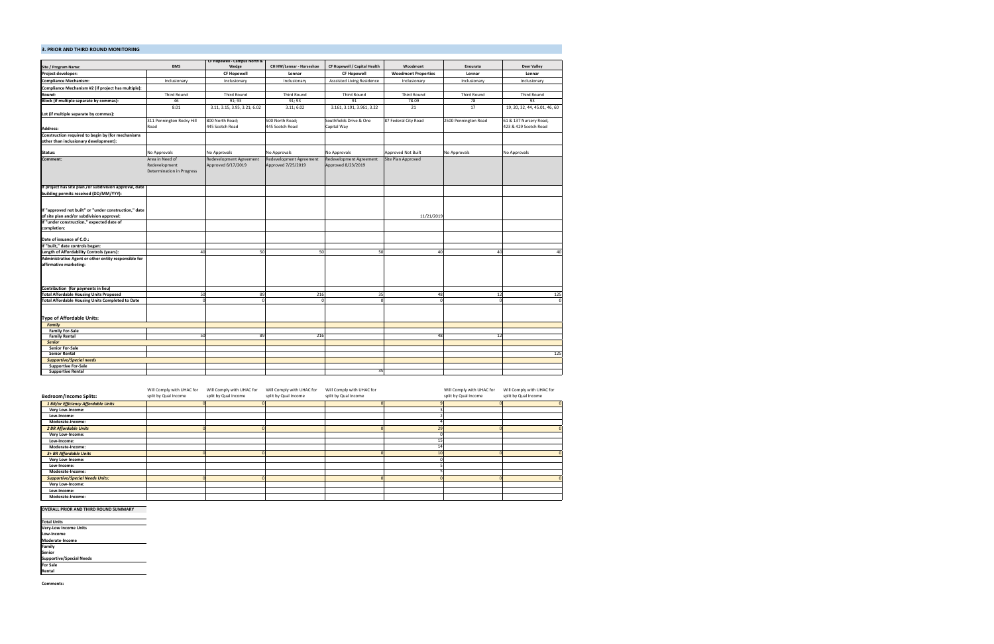| Site / Program Name:                                    | <b>BMS</b>                       | CF Hopewell - Campus North &<br>Wedge | CH HW/Lennar - Horseshoe | CF Hopewell / Capital Health      | Woodmont                   | Enourato             | <b>Deer Valley</b>            |
|---------------------------------------------------------|----------------------------------|---------------------------------------|--------------------------|-----------------------------------|----------------------------|----------------------|-------------------------------|
| Project developer:                                      |                                  | <b>CF Hopewell</b>                    | Lennar                   | <b>CF Hopewell</b>                | <b>Woodmont Properties</b> | Lennar               | Lennar                        |
| <b>Compliance Mechanism:</b>                            | Inclusionary                     | Inclusionary                          | Inclusionary             | <b>Asssisted Living Residence</b> | Inclusionary               | Inclusionary         | Inclusionary                  |
|                                                         |                                  |                                       |                          |                                   |                            |                      |                               |
| Compliance Mechanism #2 (if project has multiple):      |                                  |                                       |                          |                                   |                            |                      |                               |
| Round:                                                  | Third Round                      | <b>Third Round</b>                    | Third Round              | <b>Third Round</b>                | <b>Third Round</b>         | <b>Third Round</b>   | <b>Third Round</b>            |
| Block (if multiple separate by commas):                 | 46                               | 91; 93                                | 91; 93                   | 91                                | 78.09                      | 78                   | 93                            |
|                                                         | 8.01                             | 3.11, 3.15, 3.95, 3.21; 6.02          | 3.11; 6.02               | 3.161, 3.191, 3.961, 3.22         | 21                         | 17                   | 19, 20, 32, 44, 45.01, 46, 60 |
| Lot (if multiple separate by commas):                   |                                  |                                       |                          |                                   |                            |                      |                               |
|                                                         | 311 Pennington Rocky Hill        | 800 North Road;                       | 500 North Road;          | Southfields Drive & One           | 87 Federal City Road       | 2500 Pennington Road | 61 & 137 Nursery Road,        |
| <b>Address:</b>                                         | Road                             | 445 Scotch Road                       | 445 Scotch Road          | Capital Way                       |                            |                      | 423 & 429 Scotch Road         |
| Construction required to begin by (for mechanisms       |                                  |                                       |                          |                                   |                            |                      |                               |
| other than inclusionary development):                   |                                  |                                       |                          |                                   |                            |                      |                               |
|                                                         |                                  |                                       |                          |                                   |                            |                      |                               |
| Status:                                                 | No Approvals                     | No Approvals                          | No Approvals             | No Approvals                      | Approved Not Built         | No Approvals         | No Approvals                  |
| Comment:                                                | Area in Need of                  | Redevelopment Agreement               | Redevelopment Agreement  | Redevelopment Agreement           | Site Plan Approved         |                      |                               |
|                                                         | Redevelopment                    | Approved 6/17/2019                    | Approved 7/25/2019       | Approved 8/23/2019                |                            |                      |                               |
|                                                         | <b>Determination in Progress</b> |                                       |                          |                                   |                            |                      |                               |
|                                                         |                                  |                                       |                          |                                   |                            |                      |                               |
| If project has site plan /or subdivision approval, date |                                  |                                       |                          |                                   |                            |                      |                               |
| building permits received (DD/MM/YYY):                  |                                  |                                       |                          |                                   |                            |                      |                               |
|                                                         |                                  |                                       |                          |                                   |                            |                      |                               |
|                                                         |                                  |                                       |                          |                                   |                            |                      |                               |
| If "approved not built" or "under construction," date   |                                  |                                       |                          |                                   |                            |                      |                               |
| of site plan and/or subdivision approval:               |                                  |                                       |                          |                                   | 11/21/2019                 |                      |                               |
| If "under construction," expected date of               |                                  |                                       |                          |                                   |                            |                      |                               |
| completion:                                             |                                  |                                       |                          |                                   |                            |                      |                               |
|                                                         |                                  |                                       |                          |                                   |                            |                      |                               |
| Date of issuance of C.O.:                               |                                  |                                       |                          |                                   |                            |                      |                               |
| If "built," date controls began:                        | 40                               |                                       |                          |                                   |                            |                      |                               |
| Length of Affordability Controls (years):               |                                  | 50                                    | 50                       | 50                                | 40                         | 40                   | 40                            |
| Administrative Agent or other entity responsible for    |                                  |                                       |                          |                                   |                            |                      |                               |
| affirmative marketing:                                  |                                  |                                       |                          |                                   |                            |                      |                               |
|                                                         |                                  |                                       |                          |                                   |                            |                      |                               |
|                                                         |                                  |                                       |                          |                                   |                            |                      |                               |
| Contribution (for payments in lieu)                     |                                  |                                       |                          |                                   |                            |                      |                               |
| <b>Total Affordable Housing Units Proposed</b>          | 50                               | 89                                    | 216                      | 35                                | 48                         | 12                   | 125                           |
| <b>Total Affordable Housing Units Completed to Date</b> |                                  | $\Omega$                              |                          |                                   | $\Omega$                   | $\Omega$             | $\mathsf{C}$                  |
|                                                         |                                  |                                       |                          |                                   |                            |                      |                               |
|                                                         |                                  |                                       |                          |                                   |                            |                      |                               |
| <b>Type of Affordable Units:</b>                        |                                  |                                       |                          |                                   |                            |                      |                               |
| <b>Family</b>                                           |                                  |                                       |                          |                                   |                            |                      |                               |
| <b>Family For-Sale</b>                                  |                                  |                                       |                          |                                   |                            |                      |                               |
| <b>Family Rental</b>                                    | 50                               | 89                                    | 216                      |                                   | 48                         | 12                   |                               |
| <b>Senior</b>                                           |                                  |                                       |                          |                                   |                            |                      |                               |
| <b>Senior For-Sale</b>                                  |                                  |                                       |                          |                                   |                            |                      |                               |
| <b>Senior Rental</b>                                    |                                  |                                       |                          |                                   |                            |                      | 125                           |
| <b>Supportive/Special needs</b>                         |                                  |                                       |                          |                                   |                            |                      |                               |
| <b>Supportive For-Sale</b>                              |                                  |                                       |                          |                                   |                            |                      |                               |
| <b>Supportive Rental</b>                                |                                  |                                       |                          | 35                                |                            |                      |                               |

#### **OVERALL PRIOR AND THIRD ROUND SUMMARY**

**Total Units<br>Very-Low Income Units<br>Low-Income<br><b>Moderate-Income<br>Family<br>Senior<br>Supportive/Special Needs<br>For Sale<br>Rental** 

**Comments:**

|                                        | Will Comply with UHAC for | Will Comply with UHAC for | Will Comply with UHAC for | Will Comply with UHAC for | Will Comply with UHAC for | Will Comply with UHAC for |
|----------------------------------------|---------------------------|---------------------------|---------------------------|---------------------------|---------------------------|---------------------------|
| <b>Bedroom/Income Splits:</b>          | split by Qual Income      | split by Qual Income      | split by Qual Income      | split by Qual Income      | split by Qual Income      | split by Qual Income      |
| 1 BR/or Efficiency Affordable Units    |                           |                           |                           |                           |                           |                           |
| Very Low-Income:                       |                           |                           |                           |                           |                           |                           |
| Low-Income:                            |                           |                           |                           |                           |                           |                           |
| Moderate-Income:                       |                           |                           |                           |                           |                           |                           |
| <b>2 BR Affordable Units</b>           |                           |                           |                           |                           |                           |                           |
| Very Low-Income:                       |                           |                           |                           |                           |                           |                           |
| Low-Income:                            |                           |                           |                           |                           |                           |                           |
| Moderate-Income:                       |                           |                           |                           |                           |                           |                           |
| 3+ BR Affordable Units                 |                           |                           |                           |                           |                           |                           |
| Very Low-Income:                       |                           |                           |                           |                           |                           |                           |
| Low-Income:                            |                           |                           |                           |                           |                           |                           |
| Moderate-Income:                       |                           |                           |                           |                           |                           |                           |
| <b>Supportive/Special Needs Units:</b> |                           |                           |                           |                           |                           |                           |
| Very Low-Income:                       |                           |                           |                           |                           |                           |                           |
| Low-Income:                            |                           |                           |                           |                           |                           |                           |
| Moderate-Income:                       |                           |                           |                           |                           |                           |                           |